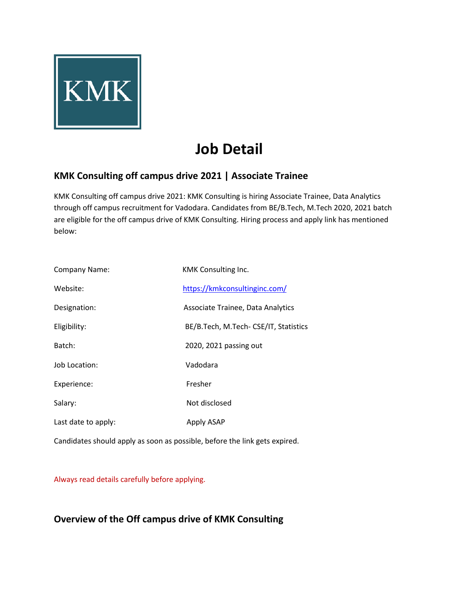

# **Job Detail**

## **KMK Consulting off campus drive 2021 | Associate Trainee**

KMK Consulting off campus drive 2021: KMK Consulting is hiring Associate Trainee, Data Analytics through off campus recruitment for Vadodara. Candidates from BE/B.Tech, M.Tech 2020, 2021 batch are eligible for the off campus drive of KMK Consulting. Hiring process and apply link has mentioned below:

| Company Name:       | KMK Consulting Inc.                     |
|---------------------|-----------------------------------------|
| Website:            | https://kmkconsultinginc.com/           |
| Designation:        | Associate Trainee, Data Analytics       |
| Eligibility:        | BE/B. Tech, M. Tech- CSE/IT, Statistics |
| Batch:              | 2020, 2021 passing out                  |
| Job Location:       | Vadodara                                |
| Experience:         | Fresher                                 |
| Salary:             | Not disclosed                           |
| Last date to apply: | Apply ASAP                              |

Candidates should apply as soon as possible, before the link gets expired.

Always read details carefully before applying.

## **Overview of the Off campus drive of KMK Consulting**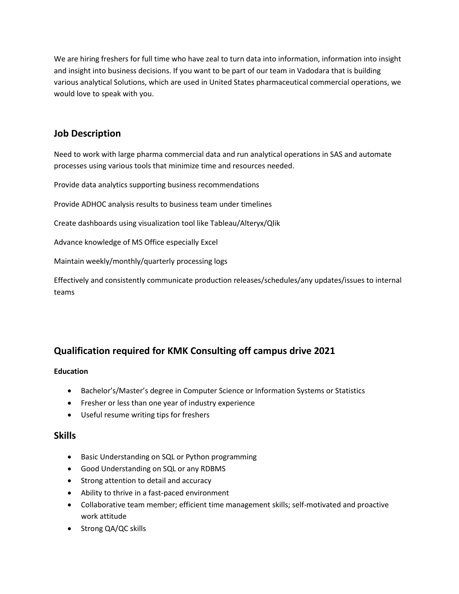We are hiring freshers for full time who have zeal to turn data into information, information into insight and insight into business decisions. If you want to be part of our team in Vadodara that is building various analytical Solutions, which are used in United States pharmaceutical commercial operations, we would love to speak with you.

## **Job Description**

Need to work with large pharma commercial data and run analytical operations in SAS and automate processes using various tools that minimize time and resources needed.

Provide data analytics supporting business recommendations

Provide ADHOC analysis results to business team under timelines

Create dashboards using visualization tool like Tableau/Alteryx/Qlik

Advance knowledge of MS Office especially Excel

Maintain weekly/monthly/quarterly processing logs

Effectively and consistently communicate production releases/schedules/any updates/issues to internal teams

## **Qualification required for KMK Consulting off campus drive 2021**

#### **Education**

- Bachelor's/Master's degree in Computer Science or Information Systems or Statistics
- Fresher or less than one year of industry experience
- Useful resume writing tips for freshers

#### **Skills**

- Basic Understanding on SQL or Python programming
- Good Understanding on SQL or any RDBMS
- Strong attention to detail and accuracy
- Ability to thrive in a fast-paced environment
- Collaborative team member; efficient time management skills; self-motivated and proactive work attitude
- Strong QA/QC skills